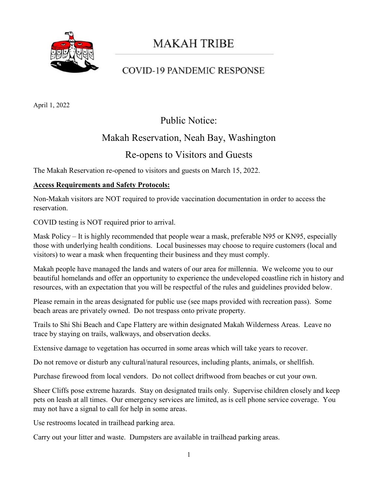

# **MAKAH TRIBE**

### **COVID-19 PANDEMIC RESPONSE**

April 1, 2022

### Public Notice:

#### Makah Reservation, Neah Bay, Washington

#### Re-opens to Visitors and Guests

The Makah Reservation re-opened to visitors and guests on March 15, 2022.

#### **Access Requirements and Safety Protocols:**

Non-Makah visitors are NOT required to provide vaccination documentation in order to access the reservation.

COVID testing is NOT required prior to arrival.

Mask Policy – It is highly recommended that people wear a mask, preferable N95 or KN95, especially those with underlying health conditions. Local businesses may choose to require customers (local and visitors) to wear a mask when frequenting their business and they must comply.

Makah people have managed the lands and waters of our area for millennia. We welcome you to our beautiful homelands and offer an opportunity to experience the undeveloped coastline rich in history and resources, with an expectation that you will be respectful of the rules and guidelines provided below.

Please remain in the areas designated for public use (see maps provided with recreation pass). Some beach areas are privately owned. Do not trespass onto private property.

Trails to Shi Shi Beach and Cape Flattery are within designated Makah Wilderness Areas. Leave no trace by staying on trails, walkways, and observation decks.

Extensive damage to vegetation has occurred in some areas which will take years to recover.

Do not remove or disturb any cultural/natural resources, including plants, animals, or shellfish.

Purchase firewood from local vendors. Do not collect driftwood from beaches or cut your own.

Sheer Cliffs pose extreme hazards. Stay on designated trails only. Supervise children closely and keep pets on leash at all times. Our emergency services are limited, as is cell phone service coverage. You may not have a signal to call for help in some areas.

Use restrooms located in trailhead parking area.

Carry out your litter and waste. Dumpsters are available in trailhead parking areas.